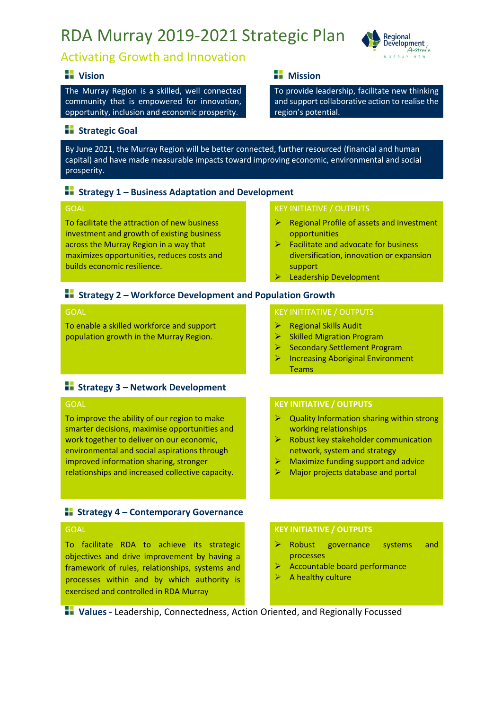## RDA Murray 2019-2021 Strategic Plan



## Activating Growth and Innovation

#### **• I** Vision **1996 1997 1998 1998 1998 1999 1999 1999 1999 1999 1999 1999**

The Murray Region is a skilled, well connected community that is empowered for innovation, opportunity, inclusion and economic prosperity.

#### **Strategic Goal**

By June 2021, the Murray Region will be better connected, further resourced (financial and human capital) and have made measurable impacts toward improving economic, environmental and social prosperity.

#### **Strategy 1 – Business Adaptation and Development**

#### GOAL

To facilitate the attraction of new business investment and growth of existing business across the Murray Region in a way that maximizes opportunities, reduces costs and builds economic resilience.

#### KEY INITIATIVE / OUTPUTS

region's potential.

➢ Regional Profile of assets and investment opportunities

To provide leadership, facilitate new thinking and support collaborative action to realise the

- ➢ Facilitate and advocate for business diversification, innovation or expansion support
- ➢ Leadership Development

#### **Strategy 2 – Workforce Development and Population Growth**

#### GOAL

To enable a skilled workforce and support population growth in the Murray Region.

#### **Strategy 3 – Network Development**

#### GOAL

To improve the ability of our region to make smarter decisions, maximise opportunities and work together to deliver on our economic, environmental and social aspirations through improved information sharing, stronger relationships and increased collective capacity.

#### **Strategy 4 – Contemporary Governance**

#### **GOAL**

To facilitate RDA to achieve its strategic objectives and drive improvement by having a framework of rules, relationships, systems and processes within and by which authority is exercised and controlled in RDA Murray

#### KEY INITITATIVE / OUTPUTS

- ➢ Regional Skills Audit
- ➢ Skilled Migration Program
- ➢ Secondary Settlement Program
- ➢ Increasing Aboriginal Environment Teams

#### **KEY INITIATIVE / OUTPUTS**

- $\triangleright$  Quality Information sharing within strong working relationships
- $\triangleright$  Robust key stakeholder communication network, system and strategy
- ➢ Maximize funding support and advice
- $\triangleright$  Major projects database and portal

#### **KEY INITIATIVE / OUTPUTS**

- ➢ Robust governance systems and processes
- ➢ Accountable board performance
- $\triangleright$  A healthy culture

**<b>1**Values - Leadership, Connectedness, Action Oriented, and Regionally Focussed